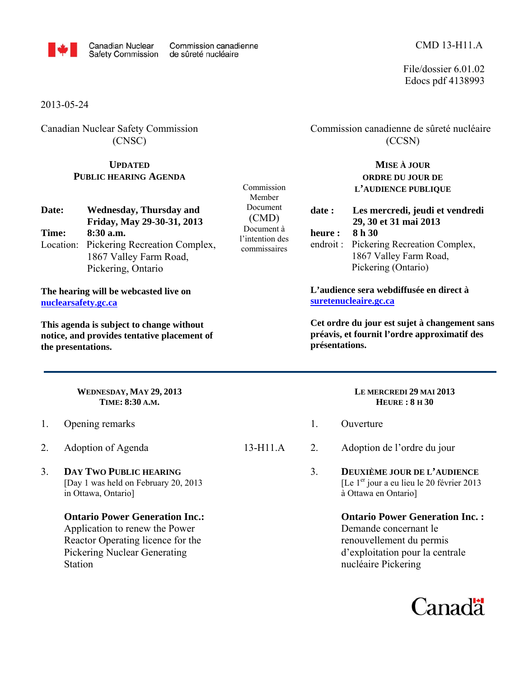

File/dossier 6.01.02 Edocs pdf 4138993

2013-05-24

Canadian Nuclear Safety Commission (CNSC)

## **UPDATED PUBLIC HEARING AGENDA**

| Date: | <b>Wednesday, Thursday and</b>          |
|-------|-----------------------------------------|
|       | Friday, May 29-30-31, 2013              |
| Time: | $8:30$ a.m.                             |
|       | Location: Pickering Recreation Complex, |
|       | 1867 Valley Farm Road,                  |
|       | Pickering, Ontario                      |

**The hearing will be webcasted live on nuclearsafety.gc.ca**

**This agenda is subject to change without notice, and provides tentative placement of the presentations.** 

> **WEDNESDAY, MAY 29, 2013 TIME: 8:30 A.M.**

- 1. Opening remarks
- 2. Adoption of Agenda
- 3. **DAY TWO PUBLIC HEARING** [Day 1 was held on February 20, 2013 in Ottawa, Ontario]
	- **Ontario Power Generation Inc.:**  Application to renew the Power Reactor Operating licence for the Pickering Nuclear Generating **Station**

Commission Member Document (CMD) Document à l'intention des commissaires

## Commission canadienne de sûreté nucléaire (CCSN)

**MISE À JOUR ORDRE DU JOUR DE L'AUDIENCE PUBLIQUE**

**date : Les mercredi, jeudi et vendredi 29, 30 et 31 mai 2013 heure : 8 h 30**  endroit : Pickering Recreation Complex, 1867 Valley Farm Road,

Pickering (Ontario)

**L'audience sera webdiffusée en direct à suretenucleaire.gc.ca**

**Cet ordre du jour est sujet à changement sans préavis, et fournit l'ordre approximatif des présentations.**

#### **LE MERCREDI 29 MAI 2013 HEURE : 8 H 30**

- 1. Ouverture
- 13-H11.A 2. Adoption de l'ordre du jour
	- 3. **DEUXIÈME JOUR DE L'AUDIENCE** [Le 1<sup>er</sup> jour a eu lieu le 20 février 2013 à Ottawa en Ontario]
		- **Ontario Power Generation Inc. :** Demande concernant le renouvellement du permis d'exploitation pour la centrale nucléaire Pickering

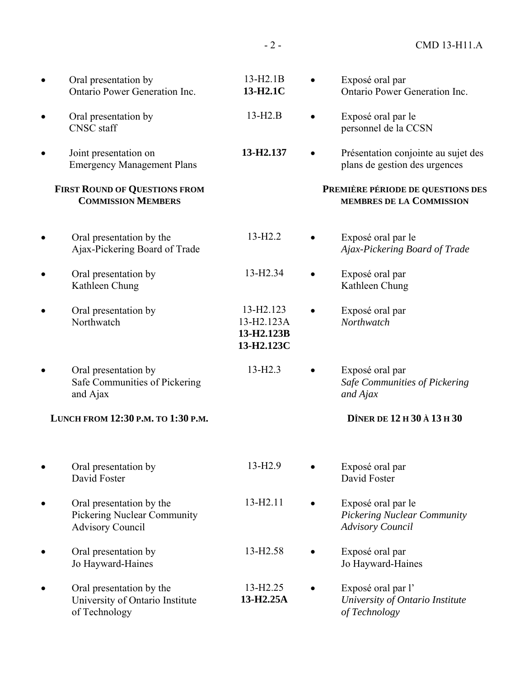| Oral presentation by<br>Ontario Power Generation Inc.                                     | $13-H2.1B$<br>13-H2.1C                                           | Exposé oral par<br>Ontario Power Generation Inc.                                    |
|-------------------------------------------------------------------------------------------|------------------------------------------------------------------|-------------------------------------------------------------------------------------|
| Oral presentation by<br><b>CNSC</b> staff                                                 | $13-H2.B$                                                        | Exposé oral par le<br>personnel de la CCSN                                          |
| Joint presentation on<br><b>Emergency Management Plans</b>                                | 13-H2.137                                                        | Présentation conjointe au sujet des<br>plans de gestion des urgences                |
| <b>FIRST ROUND OF QUESTIONS FROM</b><br><b>COMMISSION MEMBERS</b>                         |                                                                  | PREMIÈRE PÉRIODE DE QUESTIONS DES<br>MEMBRES DE LA COMMISSION                       |
| Oral presentation by the<br>Ajax-Pickering Board of Trade                                 | $13 - H2.2$                                                      | Exposé oral par le<br>Ajax-Pickering Board of Trade                                 |
| Oral presentation by<br>Kathleen Chung                                                    | 13-H <sub>2.34</sub>                                             | Exposé oral par<br>Kathleen Chung                                                   |
| Oral presentation by<br>Northwatch                                                        | 13-H <sub>2</sub> .123<br>13-H2.123A<br>13-H2.123B<br>13-H2.123C | Exposé oral par<br>Northwatch                                                       |
| Oral presentation by<br>Safe Communities of Pickering<br>and Ajax                         | $13-H2.3$                                                        | Exposé oral par<br>Safe Communities of Pickering<br>and Ajax                        |
| LUNCH FROM 12:30 P.M. TO 1:30 P.M.                                                        |                                                                  | DÎNER DE 12 H 30 À 13 H 30                                                          |
| Oral presentation by<br>David Foster                                                      | 13-H <sub>2.9</sub>                                              | Exposé oral par<br>David Foster                                                     |
| Oral presentation by the<br><b>Pickering Nuclear Community</b><br><b>Advisory Council</b> | 13-H <sub>2.11</sub>                                             | Exposé oral par le<br><b>Pickering Nuclear Community</b><br><b>Advisory Council</b> |
| Oral presentation by<br>Jo Hayward-Haines                                                 | 13-H <sub>2.58</sub>                                             | Exposé oral par<br>Jo Hayward-Haines                                                |
| Oral presentation by the<br>University of Ontario Institute<br>of Technology              | 13-H <sub>2.25</sub><br>13-H2.25A                                | Exposé oral par l'<br>University of Ontario Institute<br>of Technology              |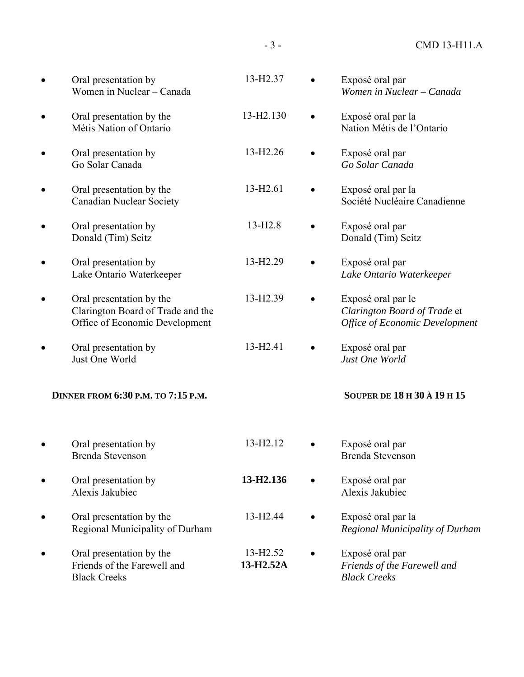• Oral presentation by Women in Nuclear – Canada 13-H2.37 • Exposé oral par *Women in Nuclear – Canada*  • Oral presentation by the Métis Nation of Ontario 13-H2.130 • Exposé oral par la Nation Métis de l'Ontario • Oral presentation by Go Solar Canada 13-H2.26 • Exposé oral par *Go Solar Canada*  • Oral presentation by the Canadian Nuclear Society 13-H2.61 • Exposé oral par la Société Nucléaire Canadienne • Oral presentation by Donald (Tim) Seitz 13-H2.8 • Exposé oral par Donald (Tim) Seitz • Oral presentation by Lake Ontario Waterkeeper 13-H2.29 • Exposé oral par *Lake Ontario Waterkeeper*  • Oral presentation by the Clarington Board of Trade and the Office of Economic Development 13-H2.39 • Exposé oral par le *Clarington Board of Trade* et *Office of Economic Development*  • Oral presentation by Just One World 13-H2.41 • Exposé oral par *Just One World*  **DINNER FROM 6:30 P.M. TO 7:15 P.M. SOUPER DE 18 H 30 À 19 H 15**  • Oral presentation by Brenda Stevenson 13-H2.12 • Exposé oral par Brenda Stevenson • Oral presentation by Alexis Jakubiec **13-H2.136** • Exposé oral par Alexis Jakubiec • Oral presentation by the Regional Municipality of Durham 13-H2.44 • Exposé oral par la *Regional Municipality of Durham*  • Oral presentation by the Friends of the Farewell and Black Creeks 13-H2.52 **13-H2.52A**  • Exposé oral par *Friends of the Farewell and Black Creeks*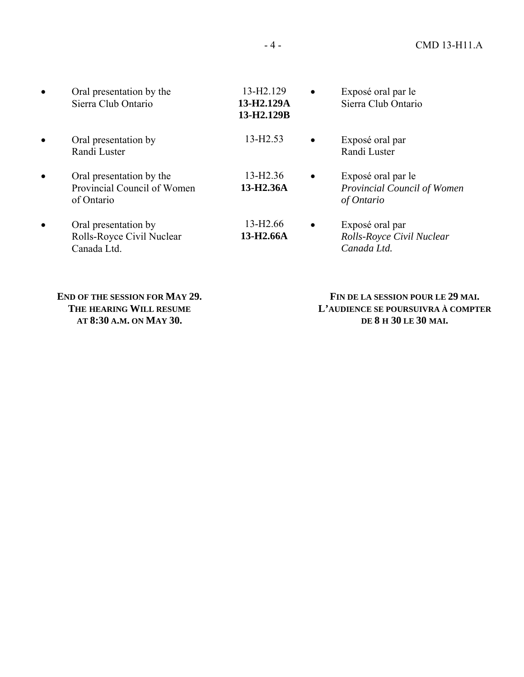| Oral presentation by the<br>Sierra Club Ontario                       | 13-H <sub>2</sub> .129<br>13-H2.129A<br>13-H2.129B | $\bullet$ | Exposé oral par le<br>Sierra Club Ontario                       |
|-----------------------------------------------------------------------|----------------------------------------------------|-----------|-----------------------------------------------------------------|
| Oral presentation by<br>Randi Luster                                  | 13-H <sub>2.53</sub>                               | $\bullet$ | Exposé oral par<br>Randi Luster                                 |
| Oral presentation by the<br>Provincial Council of Women<br>of Ontario | 13-H <sub>2.36</sub><br>13-H <sub>2.36</sub> A     | $\bullet$ | Exposé oral par le<br>Provincial Council of Women<br>of Ontario |
| Oral presentation by<br>Rolls-Royce Civil Nuclear<br>Canada Ltd.      | 13-H <sub>2.66</sub><br>13-H <sub>2.66</sub> A     |           | Exposé oral par<br>Rolls-Royce Civil Nuclear<br>Canada Ltd.     |

**END OF THE SESSION FOR MAY 29. THE HEARING WILL RESUME AT 8:30 A.M. ON MAY 30.**

 **FIN DE LA SESSION POUR LE 29 MAI. L'AUDIENCE SE POURSUIVRA À COMPTER DE 8 H 30 LE 30 MAI.**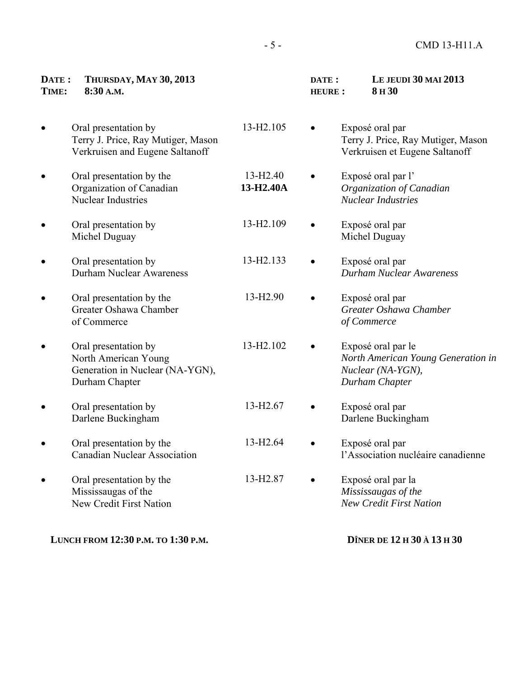#### **DATE : THURSDAY, MAY 30, 2013 TIME: 8:30 A.M.**

• Oral presentation by Terry J. Price, Ray Mutiger, Mason Verkruisen and Eugene Saltanoff

- Oral presentation by the Organization of Canadian Nuclear Industries
- Oral presentation by Michel Duguay
- Oral presentation by Durham Nuclear Awareness
- Oral presentation by the Greater Oshawa Chamber of Commerce
- Oral presentation by North American Young Generation in Nuclear (NA-YGN), Durham Chapter
- Oral presentation by Darlene Buckingham
- Oral presentation by the Canadian Nuclear Association
- Oral presentation by the Mississaugas of the New Credit First Nation

**LUNCH FROM 12:30 P.M. TO 1:30 P.M.** 

 **DATE : LE JEUDI 30 MAI 2013 HEURE : 8 H 30**

- 13-H2.105 Exposé oral par Terry J. Price, Ray Mutiger, Mason Verkruisen et Eugene Saltanoff
	- Exposé oral par l' *Organization of Canadian Nuclear Industries*
- 13-H2.109 Exposé oral par Michel Duguay
- 13-H2.133 Exposé oral par *Durham Nuclear Awareness*
- 13-H2.90 Exposé oral par *Greater Oshawa Chamber of Commerce*
- 13-H2.102 Exposé oral par le *North American Young Generation in Nuclear (NA-YGN), Durham Chapter*
- 13-H2.67 Exposé oral par Darlene Buckingham
- 13-H2.64 Exposé oral par l'Association nucléaire canadienne
- 13-H2.87 Exposé oral par la *Mississaugas of the New Credit First Nation* 
	- **DÎNER DE 12 H 30 À 13 H 30**

13-H2.40 **13-H2.40A**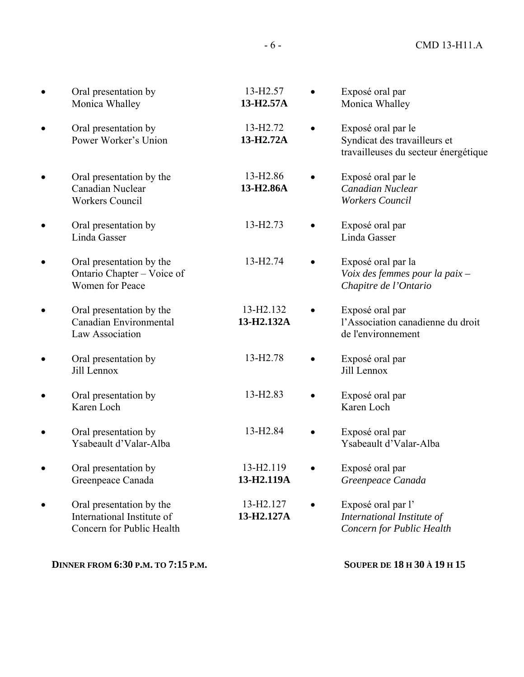| Oral presentation by<br>Monica Whalley                                              | 13-H <sub>2.57</sub><br>13-H2.57A    | Exposé oral par<br>Monica Whalley                                                          |
|-------------------------------------------------------------------------------------|--------------------------------------|--------------------------------------------------------------------------------------------|
| Oral presentation by<br>Power Worker's Union                                        | 13-H <sub>2.72</sub><br>13-H2.72A    | Exposé oral par le<br>Syndicat des travailleurs et<br>travailleuses du secteur énergétique |
| Oral presentation by the<br>Canadian Nuclear<br><b>Workers Council</b>              | 13-H <sub>2.86</sub><br>13-H2.86A    | Exposé oral par le<br>Canadian Nuclear<br><b>Workers Council</b>                           |
| Oral presentation by<br>Linda Gasser                                                | 13-H <sub>2.73</sub>                 | Exposé oral par<br>Linda Gasser                                                            |
| Oral presentation by the<br>Ontario Chapter - Voice of<br><b>Women for Peace</b>    | 13-H <sub>2.74</sub>                 | Exposé oral par la<br>Voix des femmes pour la paix -<br>Chapitre de l'Ontario              |
| Oral presentation by the<br>Canadian Environmental<br>Law Association               | 13-H <sub>2</sub> .132<br>13-H2.132A | Exposé oral par<br>l'Association canadienne du droit<br>de l'environnement                 |
| Oral presentation by<br>Jill Lennox                                                 | 13-H <sub>2.78</sub>                 | Exposé oral par<br>Jill Lennox                                                             |
| Oral presentation by<br>Karen Loch                                                  | 13-H <sub>2.83</sub>                 | Exposé oral par<br>Karen Loch                                                              |
| Oral presentation by<br>Ysabeault d'Valar-Alba                                      | 13-H <sub>2.84</sub>                 | Exposé oral par<br>Ysabeault d'Valar-Alba                                                  |
| Oral presentation by<br>Greenpeace Canada                                           | 13-H2.119<br>13-H2.119A              | Exposé oral par<br>Greenpeace Canada                                                       |
| Oral presentation by the<br>International Institute of<br>Concern for Public Health | 13-H <sub>2.127</sub><br>13-H2.127A  | Exposé oral par l'<br>International Institute of<br>Concern for Public Health              |

**DINNER FROM 6:30 P.M. TO 7:15 P.M.** 

**SOUPER DE 18 H 30 À 19 H 15**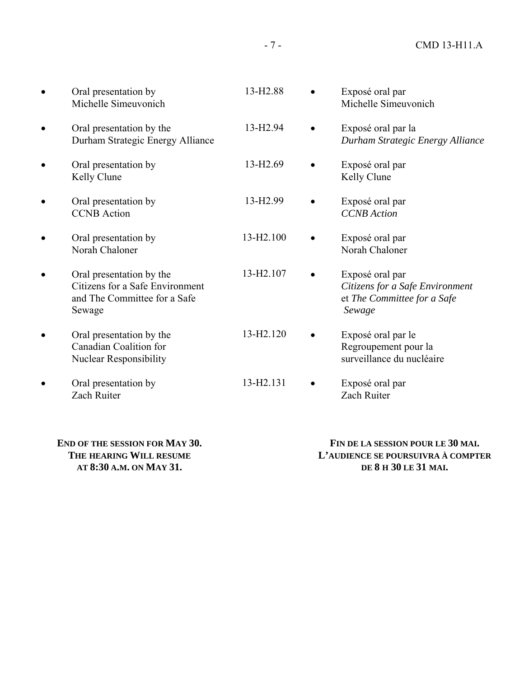| Oral presentation by<br>Michelle Simeuvonich                                                          | 13-H <sub>2.88</sub>   | Exposé oral par<br>Michelle Simeuvonich                                                     |
|-------------------------------------------------------------------------------------------------------|------------------------|---------------------------------------------------------------------------------------------|
| Oral presentation by the<br>Durham Strategic Energy Alliance                                          | 13-H <sub>2.94</sub>   | Exposé oral par la<br>Durham Strategic Energy Alliance                                      |
| Oral presentation by<br>Kelly Clune                                                                   | 13-H <sub>2.69</sub>   | Exposé oral par<br>Kelly Clune                                                              |
| Oral presentation by<br><b>CCNB</b> Action                                                            | 13-H <sub>2.99</sub>   | Exposé oral par<br><b>CCNB</b> Action                                                       |
| Oral presentation by<br>Norah Chaloner                                                                | 13-H <sub>2</sub> .100 | Exposé oral par<br>Norah Chaloner                                                           |
| Oral presentation by the<br>Citizens for a Safe Environment<br>and The Committee for a Safe<br>Sewage | 13-H2.107              | Exposé oral par<br>Citizens for a Safe Environment<br>et The Committee for a Safe<br>Sewage |
| Oral presentation by the<br><b>Canadian Coalition for</b><br><b>Nuclear Responsibility</b>            | 13-H2.120              | Exposé oral par le<br>Regroupement pour la<br>surveillance du nucléaire                     |
| Oral presentation by<br>Zach Ruiter                                                                   | 13-H2.131              | Exposé oral par<br>Zach Ruiter                                                              |

**END OF THE SESSION FOR MAY 30. THE HEARING WILL RESUME AT 8:30 A.M. ON MAY 31.**

 **FIN DE LA SESSION POUR LE 30 MAI. L'AUDIENCE SE POURSUIVRA À COMPTER DE 8 H 30 LE 31 MAI.**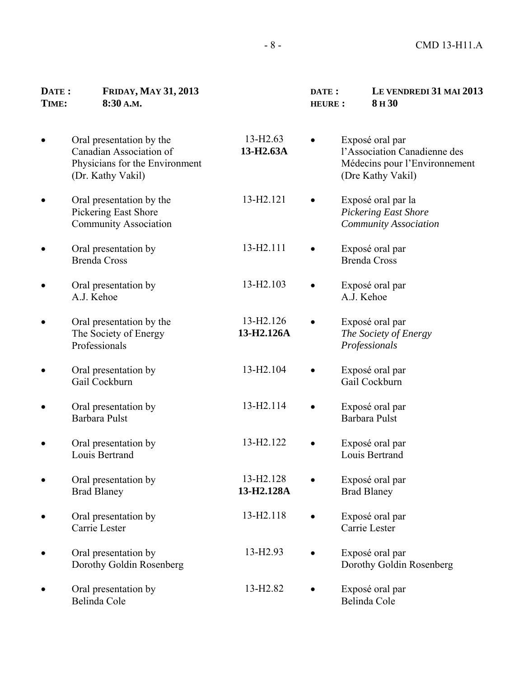### **DATE : FRIDAY, MAY 31, 2013 TIME: 8:30 A.M.**

• Oral presentation by the

• Oral presentation by the Pickering East Shore Community Association

• Oral presentation by Brenda Cross

• Oral presentation by A.J. Kehoe

• Oral presentation by the The Society of Energy

• Oral presentation by Gail Cockburn

• Oral presentation by Barbara Pulst

• Oral presentation by Louis Bertrand

• Oral presentation by Brad Blaney

• Oral presentation by Carrie Lester

| <b>FRIDAY, MAY 31, 2013</b><br>8:30 A.M.                                                                   |                                     | DATE:<br><b>HEURE:</b> | LE VENDREDI 31 MAI 2013<br>8H <sub>30</sub>                                                           |
|------------------------------------------------------------------------------------------------------------|-------------------------------------|------------------------|-------------------------------------------------------------------------------------------------------|
| Oral presentation by the<br>Canadian Association of<br>Physicians for the Environment<br>(Dr. Kathy Vakil) | 13-H <sub>2.63</sub><br>13-H2.63A   |                        | Exposé oral par<br>l'Association Canadienne des<br>Médecins pour l'Environnement<br>(Dre Kathy Vakil) |
| Oral presentation by the<br>Pickering East Shore<br><b>Community Association</b>                           | 13-H2.121                           |                        | Exposé oral par la<br><b>Pickering East Shore</b><br><b>Community Association</b>                     |
| Oral presentation by<br><b>Brenda Cross</b>                                                                | 13-H2.111                           |                        | Exposé oral par<br><b>Brenda Cross</b>                                                                |
| Oral presentation by<br>A.J. Kehoe                                                                         | 13-H2.103                           |                        | Exposé oral par<br>A.J. Kehoe                                                                         |
| Oral presentation by the<br>The Society of Energy<br>Professionals                                         | 13-H <sub>2.126</sub><br>13-H2.126A |                        | Exposé oral par<br>The Society of Energy<br>Professionals                                             |
| Oral presentation by<br>Gail Cockburn                                                                      | 13-H <sub>2.104</sub>               |                        | Exposé oral par<br>Gail Cockburn                                                                      |
| Oral presentation by<br><b>Barbara Pulst</b>                                                               | 13-H <sub>2.114</sub>               |                        | Exposé oral par<br>Barbara Pulst                                                                      |
| Oral presentation by<br>Louis Bertrand                                                                     | 13-H <sub>2</sub> .122              |                        | Exposé oral par<br>Louis Bertrand                                                                     |
| Oral presentation by<br><b>Brad Blaney</b>                                                                 | 13-H2.128<br>13-H2.128A             |                        | Exposé oral par<br><b>Brad Blaney</b>                                                                 |
| Oral presentation by<br>Carrie Lester                                                                      | 13-H2.118                           |                        | Exposé oral par<br>Carrie Lester                                                                      |
| Oral presentation by<br>Dorothy Goldin Rosenberg                                                           | 13-H <sub>2.93</sub>                |                        | Exposé oral par<br>Dorothy Goldin Rosenberg                                                           |

13-H2.82 • Exposé oral par

Belinda Cole

• Oral presentation by Belinda Cole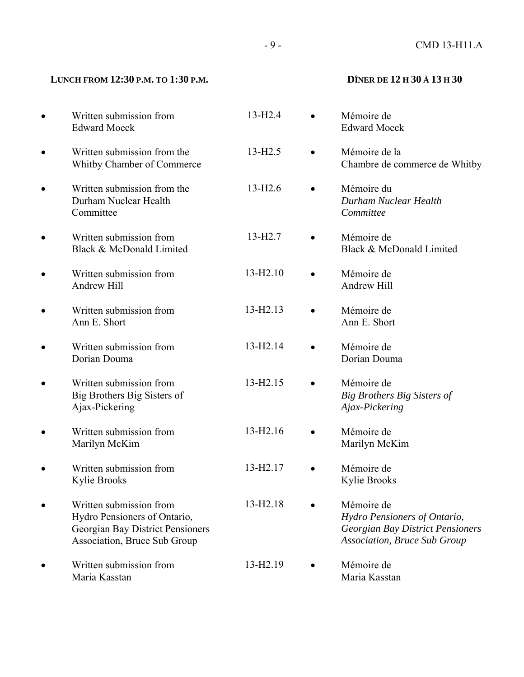# - 9 - CMD 13-H11.A

# LUNCH FROM 12:30 P.M. TO 1:30 P.M. **D**ÎNER DE 12 H 30 À 13 H 30

|           | Written submission from<br><b>Edward Moeck</b>                                                                              | 13-H <sub>2.4</sub>  | Mémoire de<br><b>Edward Moeck</b>                                                                                     |
|-----------|-----------------------------------------------------------------------------------------------------------------------------|----------------------|-----------------------------------------------------------------------------------------------------------------------|
| $\bullet$ | Written submission from the<br>Whitby Chamber of Commerce                                                                   | $13 - H2.5$          | Mémoire de la<br>Chambre de commerce de Whitby                                                                        |
| ٠         | Written submission from the<br>Durham Nuclear Health<br>Committee                                                           | $13-H2.6$            | Mémoire du<br>Durham Nuclear Health<br>Committee                                                                      |
| ٠         | Written submission from<br>Black & McDonald Limited                                                                         | 13-H <sub>2.7</sub>  | Mémoire de<br>Black & McDonald Limited                                                                                |
| ٠         | Written submission from<br>Andrew Hill                                                                                      | 13-H2.10             | Mémoire de<br>Andrew Hill                                                                                             |
| ٠         | Written submission from<br>Ann E. Short                                                                                     | 13-H <sub>2.13</sub> | Mémoire de<br>Ann E. Short                                                                                            |
| ٠         | Written submission from<br>Dorian Douma                                                                                     | 13-H <sub>2.14</sub> | Mémoire de<br>Dorian Douma                                                                                            |
| $\bullet$ | Written submission from<br>Big Brothers Big Sisters of<br>Ajax-Pickering                                                    | 13-H <sub>2.15</sub> | Mémoire de<br>Big Brothers Big Sisters of<br>Ajax-Pickering                                                           |
| ٠         | Written submission from<br>Marilyn McKim                                                                                    | 13-H2.16             | Mémoire de<br>Marilyn McKim                                                                                           |
| ٠         | Written submission from<br>Kylie Brooks                                                                                     | 13-H <sub>2.17</sub> | Mémoire de<br>Kylie Brooks                                                                                            |
|           | Written submission from<br>Hydro Pensioners of Ontario,<br>Georgian Bay District Pensioners<br>Association, Bruce Sub Group | 13-H2.18             | Mémoire de<br>Hydro Pensioners of Ontario,<br>Georgian Bay District Pensioners<br><b>Association, Bruce Sub Group</b> |
|           | Written submission from<br>Maria Kasstan                                                                                    | 13-H <sub>2.19</sub> | Mémoire de<br>Maria Kasstan                                                                                           |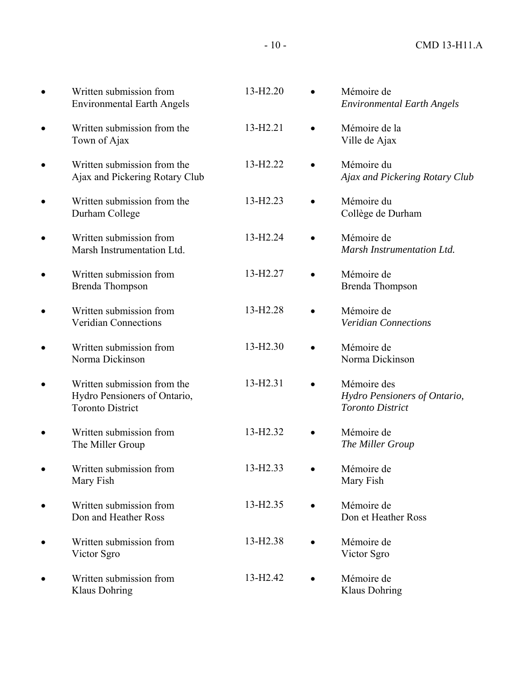|           | Written submission from<br><b>Environmental Earth Angels</b>                           | 13-H <sub>2.20</sub> | Mémoire de<br><b>Environmental Earth Angels</b>                        |
|-----------|----------------------------------------------------------------------------------------|----------------------|------------------------------------------------------------------------|
|           | Written submission from the<br>Town of Ajax                                            | 13-H <sub>2.21</sub> | Mémoire de la<br>Ville de Ajax                                         |
|           | Written submission from the<br>Ajax and Pickering Rotary Club                          | 13-H <sub>2.22</sub> | Mémoire du<br>Ajax and Pickering Rotary Club                           |
|           | Written submission from the<br>Durham College                                          | 13-H <sub>2.23</sub> | Mémoire du<br>Collège de Durham                                        |
|           | Written submission from<br>Marsh Instrumentation Ltd.                                  | 13-H <sub>2.24</sub> | Mémoire de<br>Marsh Instrumentation Ltd.                               |
|           | Written submission from<br><b>Brenda Thompson</b>                                      | 13-H <sub>2.27</sub> | Mémoire de<br><b>Brenda Thompson</b>                                   |
|           | Written submission from<br><b>Veridian Connections</b>                                 | 13-H <sub>2.28</sub> | Mémoire de<br><b>Veridian Connections</b>                              |
|           | Written submission from<br>Norma Dickinson                                             | 13-H <sub>2.30</sub> | Mémoire de<br>Norma Dickinson                                          |
|           | Written submission from the<br>Hydro Pensioners of Ontario,<br><b>Toronto District</b> | 13-H <sub>2.31</sub> | Mémoire des<br>Hydro Pensioners of Ontario,<br><b>Toronto District</b> |
|           | Written submission from<br>The Miller Group                                            | 13-H <sub>2.32</sub> | Mémoire de<br>The Miller Group                                         |
| $\bullet$ | Written submission from<br>Mary Fish                                                   | 13-H <sub>2.33</sub> | Mémoire de<br>Mary Fish                                                |
|           | Written submission from<br>Don and Heather Ross                                        | 13-H <sub>2.35</sub> | Mémoire de<br>Don et Heather Ross                                      |
|           | Written submission from<br>Victor Sgro                                                 | 13-H <sub>2.38</sub> | Mémoire de<br>Victor Sgro                                              |
|           | Written submission from<br>Klaus Dohring                                               | 13-H <sub>2.42</sub> | Mémoire de<br>Klaus Dohring                                            |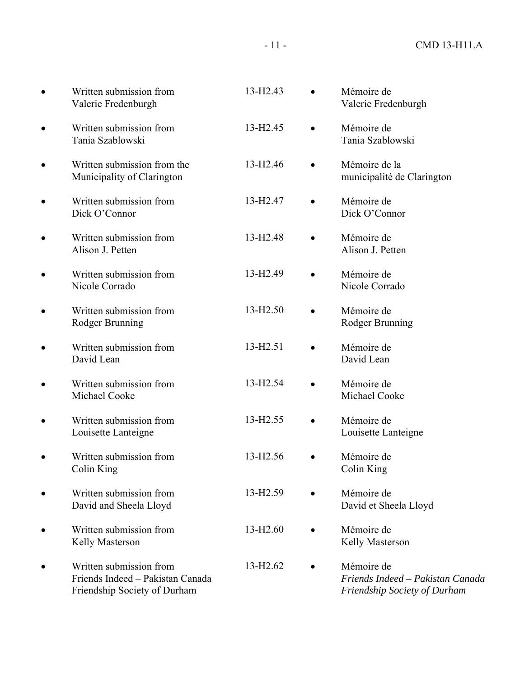| Written submission from<br>Valerie Fredenburgh                                              | 13-H <sub>2.43</sub> | Mémoire de<br>Valerie Fredenburgh                                              |
|---------------------------------------------------------------------------------------------|----------------------|--------------------------------------------------------------------------------|
| Written submission from<br>Tania Szablowski                                                 | 13-H <sub>2.45</sub> | Mémoire de<br>Tania Szablowski                                                 |
| Written submission from the<br>Municipality of Clarington                                   | 13-H <sub>2.46</sub> | Mémoire de la<br>municipalité de Clarington                                    |
| Written submission from<br>Dick O'Connor                                                    | 13-H <sub>2.47</sub> | Mémoire de<br>Dick O'Connor                                                    |
| Written submission from<br>Alison J. Petten                                                 | 13-H <sub>2.48</sub> | Mémoire de<br>Alison J. Petten                                                 |
| Written submission from<br>Nicole Corrado                                                   | 13-H <sub>2.49</sub> | Mémoire de<br>Nicole Corrado                                                   |
| Written submission from<br>Rodger Brunning                                                  | 13-H <sub>2.50</sub> | Mémoire de<br>Rodger Brunning                                                  |
| Written submission from<br>David Lean                                                       | 13-H <sub>2.51</sub> | Mémoire de<br>David Lean                                                       |
| Written submission from<br>Michael Cooke                                                    | 13-H <sub>2.54</sub> | Mémoire de<br>Michael Cooke                                                    |
| Written submission from<br>Louisette Lanteigne                                              | 13-H <sub>2.55</sub> | Mémoire de<br>Louisette Lanteigne                                              |
| Written submission from<br>Colin King                                                       | 13-H <sub>2.56</sub> | Mémoire de<br>Colin King                                                       |
| Written submission from<br>David and Sheela Lloyd                                           | 13-H <sub>2.59</sub> | Mémoire de<br>David et Sheela Lloyd                                            |
| Written submission from<br>Kelly Masterson                                                  | $13 - H2.60$         | Mémoire de<br>Kelly Masterson                                                  |
| Written submission from<br>Friends Indeed - Pakistan Canada<br>Friendship Society of Durham | 13-H <sub>2.62</sub> | Mémoire de<br>Friends Indeed - Pakistan Canada<br>Friendship Society of Durham |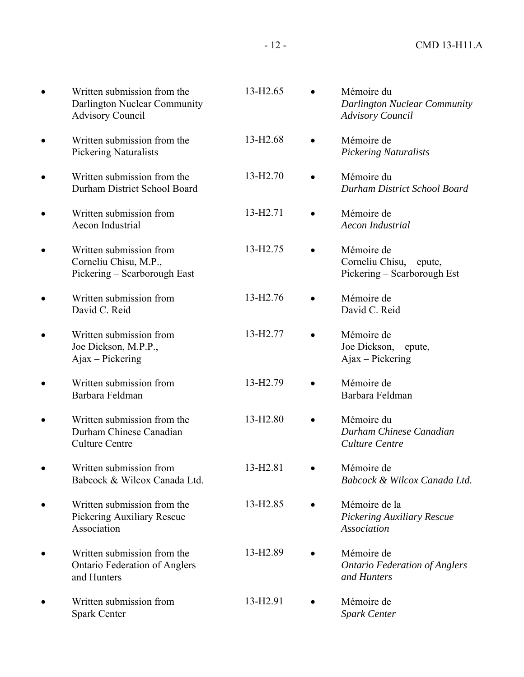| Written submission from the<br>Darlington Nuclear Community<br><b>Advisory Council</b> | 13-H <sub>2.65</sub> | Mémoire du<br>Darlington Nuclear Community<br><b>Advisory Council</b>  |
|----------------------------------------------------------------------------------------|----------------------|------------------------------------------------------------------------|
| Written submission from the<br><b>Pickering Naturalists</b>                            | 13-H <sub>2.68</sub> | Mémoire de<br><b>Pickering Naturalists</b>                             |
| Written submission from the<br>Durham District School Board                            | 13-H <sub>2.70</sub> | Mémoire du<br>Durham District School Board                             |
| Written submission from<br>Aecon Industrial                                            | 13-H <sub>2.71</sub> | Mémoire de<br>Aecon Industrial                                         |
| Written submission from<br>Corneliu Chisu, M.P.,<br>Pickering - Scarborough East       | 13-H <sub>2.75</sub> | Mémoire de<br>Corneliu Chisu,<br>epute,<br>Pickering – Scarborough Est |
| Written submission from<br>David C. Reid                                               | 13-H <sub>2.76</sub> | Mémoire de<br>David C. Reid                                            |
| Written submission from<br>Joe Dickson, M.P.P.,<br>Ajax - Pickering                    | 13-H <sub>2.77</sub> | Mémoire de<br>Joe Dickson,<br>epute,<br>$A$ jax – Pickering            |
| Written submission from<br>Barbara Feldman                                             | 13-H <sub>2.79</sub> | Mémoire de<br>Barbara Feldman                                          |
| Written submission from the<br>Durham Chinese Canadian<br><b>Culture Centre</b>        | 13-H <sub>2.80</sub> | Mémoire du<br>Durham Chinese Canadian<br>Culture Centre                |
| Written submission from<br>Babcock & Wilcox Canada Ltd.                                | 13-H <sub>2.81</sub> | Mémoire de<br>Babcock & Wilcox Canada Ltd.                             |
| Written submission from the<br>Pickering Auxiliary Rescue<br>Association               | 13-H <sub>2.85</sub> | Mémoire de la<br><b>Pickering Auxiliary Rescue</b><br>Association      |
| Written submission from the<br><b>Ontario Federation of Anglers</b><br>and Hunters     | 13-H <sub>2.89</sub> | Mémoire de<br><b>Ontario Federation of Anglers</b><br>and Hunters      |
| Written submission from<br><b>Spark Center</b>                                         | 13-H <sub>2.91</sub> | Mémoire de<br><b>Spark Center</b>                                      |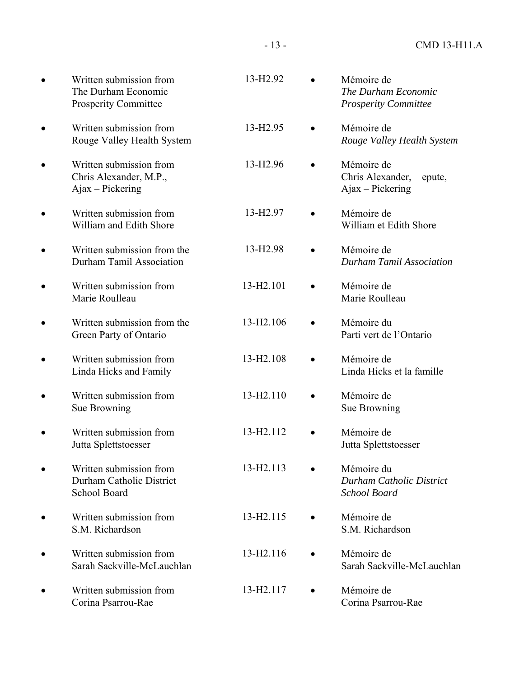| Written submission from<br>The Durham Economic<br><b>Prosperity Committee</b> | 13-H <sub>2.92</sub>  | Mémoire de<br>The Durham Economic<br><b>Prosperity Committee</b>     |
|-------------------------------------------------------------------------------|-----------------------|----------------------------------------------------------------------|
| Written submission from<br>Rouge Valley Health System                         | 13-H <sub>2.95</sub>  | Mémoire de<br>Rouge Valley Health System                             |
| Written submission from<br>Chris Alexander, M.P.,<br>$A$ jax – Pickering      | 13-H <sub>2.96</sub>  | Mémoire de<br>Chris Alexander,<br>epute,<br>$A$ jax – Pickering      |
| Written submission from<br>William and Edith Shore                            | 13-H <sub>2.97</sub>  | Mémoire de<br>William et Edith Shore                                 |
| Written submission from the<br>Durham Tamil Association                       | 13-H <sub>2.98</sub>  | Mémoire de<br><b>Durham Tamil Association</b>                        |
| Written submission from<br>Marie Roulleau                                     | 13-H2.101             | Mémoire de<br>Marie Roulleau                                         |
| Written submission from the<br>Green Party of Ontario                         | 13-H <sub>2.106</sub> | Mémoire du<br>Parti vert de l'Ontario                                |
| Written submission from<br>Linda Hicks and Family                             | 13-H2.108             | Mémoire de<br>Linda Hicks et la famille                              |
| Written submission from<br>Sue Browning                                       | 13-H2.110             | Mémoire de<br>Sue Browning                                           |
| Written submission from<br>Jutta Splettstoesser                               | 13-H2.112             | Mémoire de<br>Jutta Splettstoesser                                   |
| Written submission from<br>Durham Catholic District<br>School Board           | 13-H2.113             | Mémoire du<br><b>Durham Catholic District</b><br><b>School Board</b> |
| Written submission from<br>S.M. Richardson                                    | 13-H2.115             | Mémoire de<br>S.M. Richardson                                        |
| Written submission from<br>Sarah Sackville-McLauchlan                         | 13-H2.116             | Mémoire de<br>Sarah Sackville-McLauchlan                             |
| Written submission from<br>Corina Psarrou-Rae                                 | 13-H2.117             | Mémoire de<br>Corina Psarrou-Rae                                     |